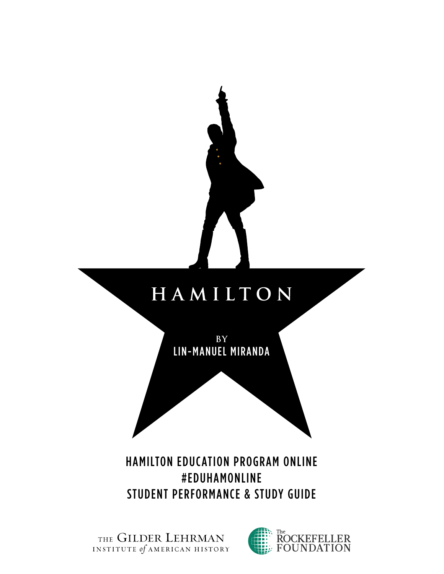

THE GILDER LEHRMAN

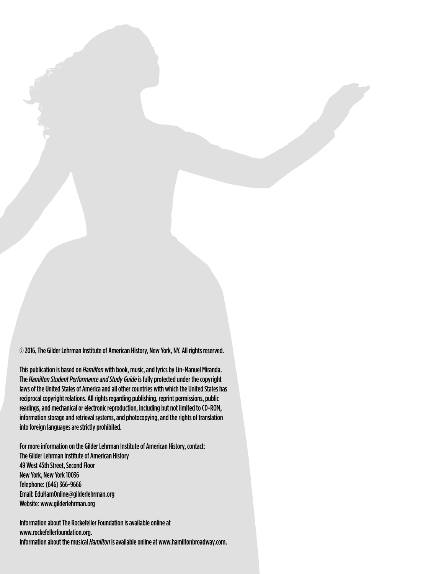© 2016, The Gilder Lehrman Institute of American History, New York, NY. All rights reserved.

This publication is based on *Hamilton* with book, music, and lyrics by Lin-Manuel Miranda. The *Hamilton Student Performance and Study Guide* is fully protected under the copyright laws of the United States of America and all other countries with which the United States has reciprocal copyright relations. All rights regarding publishing, reprint permissions, public readings, and mechanical or electronic reproduction, including but not limited to CD-ROM, information storage and retrieval systems, and photocopying, and the rights of translation into foreign languages are strictly prohibited.

For more information on the Gilder Lehrman Institute of American History, contact: The Gilder Lehrman Institute of American History 49 West 45th Street, Second Floor New York, New York 10036 Telephone: (646) 366-9666 Email: [EduHamOnline@gilderlehrman.org](mailto:EduHamOnline@gilderlehrman.org) Website: [www.gilderlehrman.org](http://www.gilderlehrman.org)

Information about The Rockefeller Foundation is available online at [www.rockefellerfoundation.org](http://www.rockefellerfoundation.org). Information about the musical *Hamilton* is available online at [www.hamiltonbroadway.com](http://www.hamiltonbroadway.com).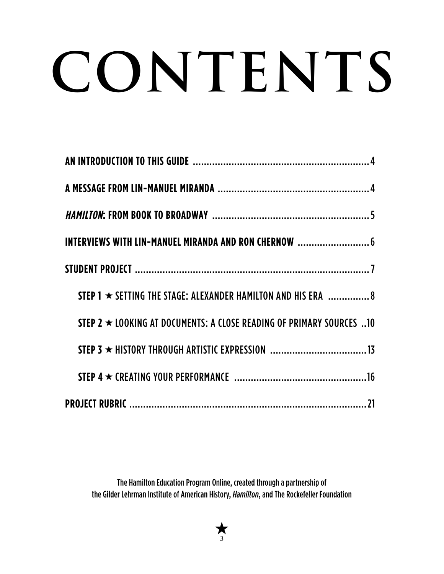# **CONTENTS**

| INTERVIEWS WITH LIN-MANUEL MIRANDA AND RON CHERNOW  6                       |  |
|-----------------------------------------------------------------------------|--|
|                                                                             |  |
| STEP 1 $\star$ SETTING THE STAGE: ALEXANDER HAMILTON AND HIS ERA $\ldots$ 8 |  |
| STEP 2 $\star$ LOOKING AT DOCUMENTS: A CLOSE READING OF PRIMARY SOURCES 10  |  |
|                                                                             |  |
|                                                                             |  |
|                                                                             |  |

The Hamilton Education Program Online, created through a partnership of the Gilder Lehrman Institute of American History, *Hamilton*, and The Rockefeller Foundation

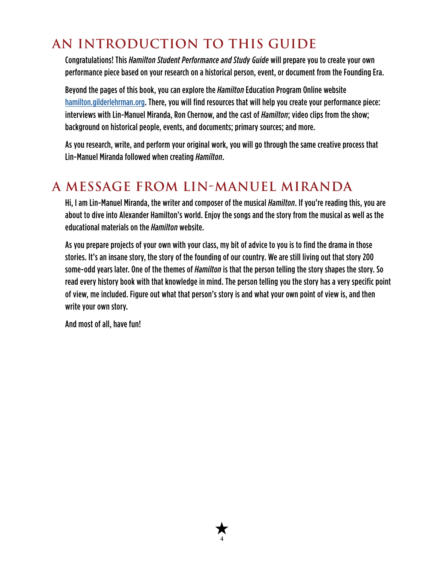## <span id="page-3-0"></span>**AN INTRODUCTION TO THIS GUIDE**

Congratulations! This *Hamilton Student Performance and Study Guide* will prepare you to create your own performance piece based on your research on a historical person, event, or document from the Founding Era.

Beyond the pages of this book, you can explore the *Hamilton* Education Program Online website [hamilton.gilderlehrman.org.](http://hamilton.gilderlehrman.org) There, you will find resources that will help you create your performance piece: interviews with Lin-Manuel Miranda, Ron Chernow, and the cast of *Hamilton*; video clips from the show; background on historical people, events, and documents; primary sources; and more.

As you research, write, and perform your original work, you will go through the same creative process that Lin-Manuel Miranda followed when creating *Hamilton*.

## **A MESSAGE FROM LIN-MANUEL MIRANDA**

Hi, I am Lin-Manuel Miranda, the writer and composer of the musical *Hamilton*. If you're reading this, you are about to dive into Alexander Hamilton's world. Enjoy the songs and the story from the musical as well as the educational materials on the *Hamilton* website.

As you prepare projects of your own with your class, my bit of advice to you is to find the drama in those stories. It's an insane story, the story of the founding of our country. We are still living out that story 200 some-odd years later. One of the themes of *Hamilton* is that the person telling the story shapes the story. So read every history book with that knowledge in mind. The person telling you the story has a very specific point of view, me included. Figure out what that person's story is and what your own point of view is, and then write your own story.

**4**

And most of all, have fun!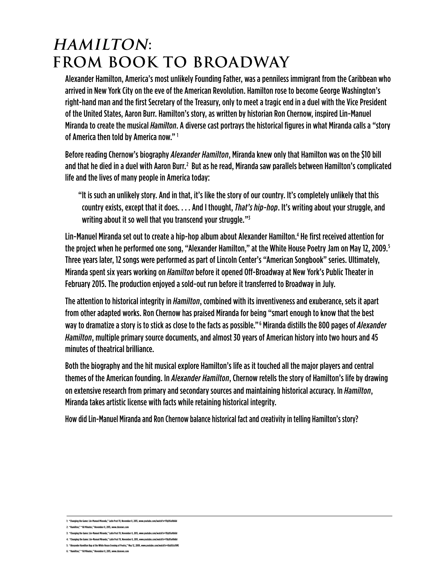## <span id="page-4-0"></span>**HAMILTON: FROM BOOK TO BROADWAY**

Alexander Hamilton, America's most unlikely Founding Father, was a penniless immigrant from the Caribbean who arrived in New York City on the eve of the American Revolution. Hamilton rose to become George Washington's right-hand man and the first Secretary of the Treasury, only to meet a tragic end in a duel with the Vice President of the United States, Aaron Burr. Hamilton's story, as written by historian Ron Chernow, inspired Lin-Manuel Miranda to create the musical *Hamilton*. A diverse cast portrays the historical figures in what Miranda calls a "story of America then told by America now." 1

Before reading Chernow's biography *Alexander Hamilton*, Miranda knew only that Hamilton was on the \$10 bill and that he died in a duel with Aaron Burr.<sup>2</sup> But as he read, Miranda saw parallels between Hamilton's complicated life and the lives of many people in America today:

"It is such an unlikely story. And in that, it's like the story of our country. It's completely unlikely that this country exists, except that it does. . . . And I thought, *That's hip-hop*. It's writing about your struggle, and writing about it so well that you transcend your struggle."3

Lin-Manuel Miranda set out to create a hip-hop album about Alexander Hamilton.<sup>4</sup> He first received attention for the project when he performed one song, "Alexander Hamilton," at the White House Poetry Jam on May 12, 2009. 5 Three years later, 12 songs were performed as part of Lincoln Center's "American Songbook" series. Ultimately, Miranda spent six years working on *Hamilton* before it opened Off-Broadway at New York's Public Theater in February 2015. The production enjoyed a sold-out run before it transferred to Broadway in July.

The attention to historical integrity in *Hamilton*, combined with its inventiveness and exuberance, sets it apart from other adapted works. Ron Chernow has praised Miranda for being "smart enough to know that the best way to dramatize a story is to stick as close to the facts as possible." 6 Miranda distills the 800 pages of *Alexander Hamilton*, multiple primary source documents, and almost 30 years of American history into two hours and 45 minutes of theatrical brilliance.

Both the biography and the hit musical explore Hamilton's life as it touched all the major players and central themes of the American founding. In *Alexander Hamilton*, Chernow retells the story of Hamilton's life by drawing on extensive research from primary and secondary sources and maintaining historical accuracy. In *Hamilton*, Miranda takes artistic license with facts while retaining historical integrity.

How did Lin-Manuel Miranda and Ron Chernow balance historical fact and creativity in telling Hamilton's story?

- **3: "Changing the Game: Lin-Manuel Miranda," Latin Post TV, November 8, 2015, [www.youtube.com/watch?v=YXyD5uVb6bI](http://www.youtube.com/watch?v=YXyD5uVb6bI)**
- **4: "Changing the Game: Lin-Manuel Miranda," Latin Post TV, November 8, 2015, [www.youtube.com/watch?v=YXyD5uVb6bI](http://www.youtube.com/watch?v=YXyD5uVb6bI) 5: "Alexander Hamilton Rap at the White House Evening of Poetry," May 12, 2009, [www.youtube.com/watch?v=t0aX8Jy1tME](http://www.youtube.com/watch?v=t0aX8Jy1tME)**
- **6: "Hamilton," "60 Minutes," November 8, 2015, [www.cbsnews.com](http://www.cbsnews.com)**

**<sup>1: &</sup>quot;Changing the Game: Lin-Manuel Miranda," Latin Post TV, November 8, 2015, [www.youtube.com/watch?v=YXyD5uVb6bI](http://www.youtube.com/watch?v=YXyD5uVb6bI)**

**<sup>2: &</sup>quot;Hamilton," "60 Minutes," November 8, 2015, [www.cbsnews.com](http://www.cbsnews.com)**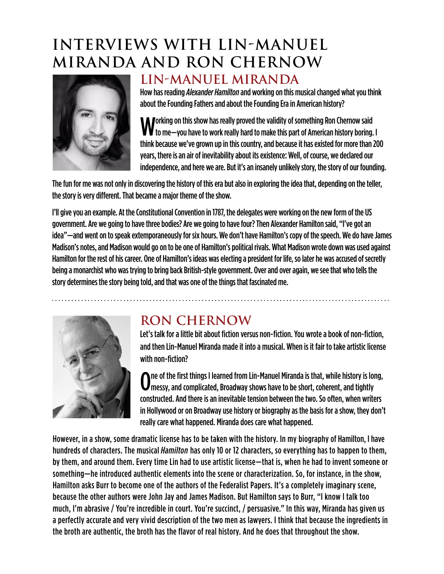# <span id="page-5-0"></span>**INTERVIEWS WITH LIN-MANUEL MIRANDA AND RON CHERNOW**



## **LIN-MANUEL MIRANDA**

How has reading *Alexander Hamilton* and working on this musical changed what you think about the Founding Fathers and about the Founding Era in American history?

**Morking on this show has really proved the validity of something Ron Chernow said**  $\mathbf W$  to me—you have to work really hard to make this part of American history boring. I think because we've grown up in this country, and because it has existed for more than 200 years, there is an air of inevitability about its existence: Well, of course, we declared our independence, and here we are. But it's an insanely unlikely story, the story of our founding.

The fun for me was not only in discovering the history of this era but also in exploring the idea that, depending on the teller, the story is very different. That became a major theme of the show.

I'll give you an example. At the Constitutional Convention in 1787, the delegates were working on the new form of the US government. Are we going to have three bodies? Are we going to have four? Then Alexander Hamilton said, "I've got an idea"—and went on to speak extemporaneously for six hours. We don't have Hamilton's copy of the speech. We do have James Madison's notes, and Madison would go on to be one of Hamilton's political rivals. What Madison wrote down was used against Hamilton for the rest of his career. One of Hamilton's ideas was electing a president for life, so later he was accused of secretly being a monarchist who was trying to bring back British-style government. Over and over again, we see that who tells the story determines the story being told, and that was one of the things that fascinated me.



## **RON CHERNOW**

Let's talk for a little bit about fiction versus non-fiction. You wrote a book of non-fiction, and then Lin-Manuel Miranda made it into a musical. When is it fair to take artistic license with non-fiction?

 $\mathbf 0$ ne of the first things I learned from Lin-Manuel Miranda is that, while history is lointly messy, and complicated, Broadway shows have to be short, coherent, and tightly ne of the first things I learned from Lin-Manuel Miranda is that, while history is long, constructed. And there is an inevitable tension between the two. So often, when writers in Hollywood or on Broadway use history or biography as the basis for a show, they don't really care what happened. Miranda does care what happened.

However, in a show, some dramatic license has to be taken with the history. In my biography of Hamilton, I have hundreds of characters. The musical *Hamilton* has only 10 or 12 characters, so everything has to happen to them, by them, and around them. Every time Lin had to use artistic license—that is, when he had to invent someone or something—he introduced authentic elements into the scene or characterization. So, for instance, in the show, Hamilton asks Burr to become one of the authors of the Federalist Papers. It's a completely imaginary scene, because the other authors were John Jay and James Madison. But Hamilton says to Burr, "I know I talk too much, I'm abrasive / You're incredible in court. You're succinct, / persuasive." In this way, Miranda has given us a perfectly accurate and very vivid description of the two men as lawyers. I think that because the ingredients in the broth are authentic, the broth has the flavor of real history. And he does that throughout the show.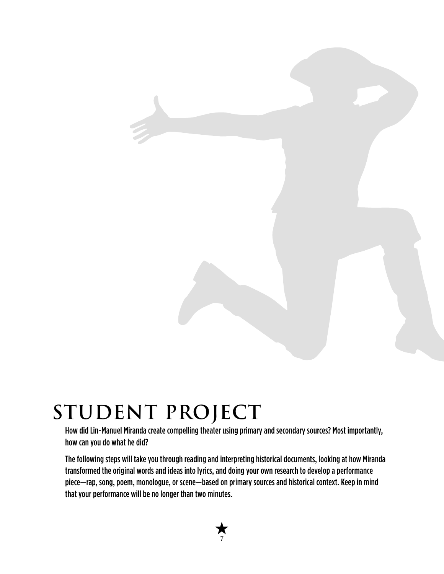# <span id="page-6-0"></span>**STUDENT PROJECT**

How did Lin-Manuel Miranda create compelling theater using primary and secondary sources? Most importantly, how can you do what he did?

The following steps will take you through reading and interpreting historical documents, looking at how Miranda transformed the original words and ideas into lyrics, and doing your own research to develop a performance piece—rap, song, poem, monologue, or scene—based on primary sources and historical context. Keep in mind that your performance will be no longer than two minutes.

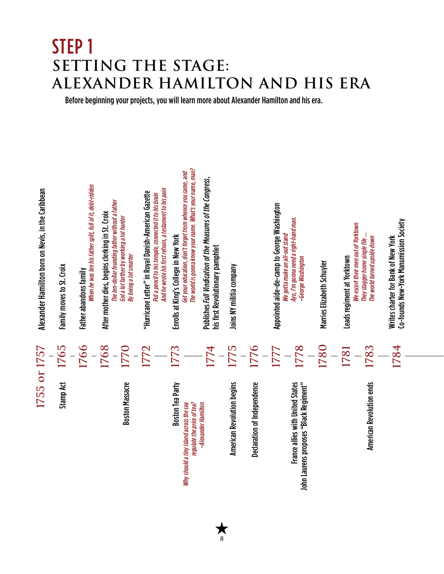# <span id="page-7-0"></span>STEP 1<br>SETTING **SETTING THE STAGE: EXANDER HAMILTON AND HIS ERA**

Before beginning your projects, you will learn more about Alexander Hamilton and his era.



**8**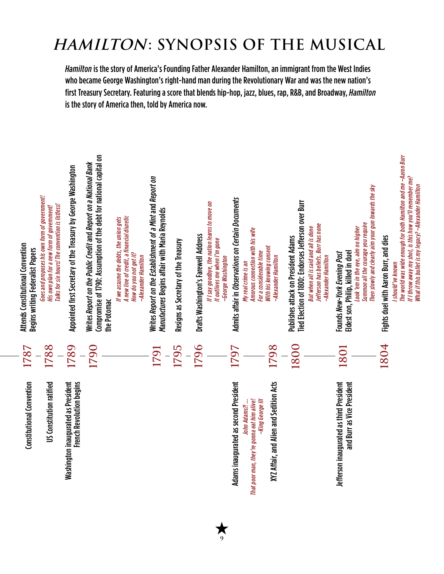# **HAMILTON: SYNOPSIS OF THE MUSICAL**

*Hamilton* is the story of America's Founding Father Alexander Hamilton, an immigrant from the West Indies who became George Washington's right-hand man during the Revolutionary War and was the new nation's first Treasury Secretary. Featuring a score that blends hip-hop, jazz, blues, rap, R&B, and Broadway, *Hamilton* is the story of America then, told by America now.



**9**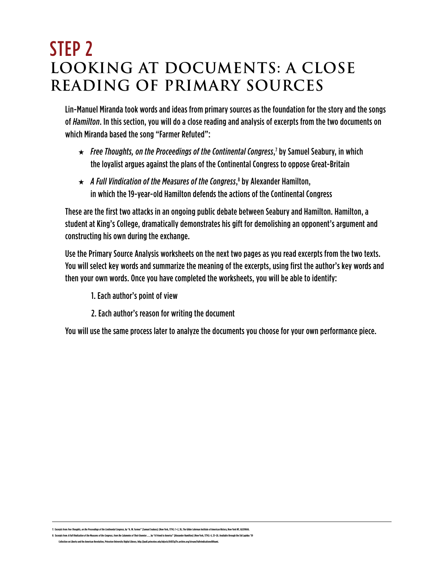# <span id="page-9-0"></span>STEP 2 **LOOKING AT DOCUMENTS: A CLOSE READING OF PRIMARY SOURCES**

Lin-Manuel Miranda took words and ideas from primary sources as the foundation for the story and the songs of *Hamilton*. In this section, you will do a close reading and analysis of excerpts from the two documents on which Miranda based the song "Farmer Refuted":

- $\star$  Free Thoughts, on the Proceedings of the Continental Congress,<sup>7</sup> by Samuel Seabury, in which the loyalist argues against the plans of the Continental Congress to oppose Great-Britain
- $\star$  A Full Vindication of the Measures of the Congress, $^8$  by Alexander Hamilton, in which the 19-year-old Hamilton defends the actions of the Continental Congress

These are the first two attacks in an ongoing public debate between Seabury and Hamilton. Hamilton, a student at King's College, dramatically demonstrates his gift for demolishing an opponent's argument and constructing his own during the exchange.

Use the Primary Source Analysis worksheets on the next two pages as you read excerpts from the two texts. You will select key words and summarize the meaning of the excerpts, using first the author's key words and then your own words. Once you have completed the worksheets, you will be able to identify:

- 1. Each author's point of view
- 2. Each author's reason for writing the document

You will use the same process later to analyze the documents you choose for your own performance piece.

7- Excernix from Exec Thoughts, on the Proceedings of the Continental Congress by "A. W. Sarmes" [Samuel Seabury] (New York 1774)- 1-2 36. The Gilder Lehrman Institute of American History. New York NY GICOGGS

pts from *A Full Vindication of the Measures of the Congress, from the Calumnies of Their Enemies ... , by "A Friend to America" [Alexander Hamilton] (New York, 1774): 4, 25–26. Available through the Sid La* **Collection on Liberty and the American Revolution, Princeton University Digital Library, [http://pudl.princeton.edu/objects/6t053g71v.archive.org/stream/fullvindicationo00hami.](http://pudl.princeton.edu/objects/6t053g71v.archive.org/stream/fullvindicationo00hami)**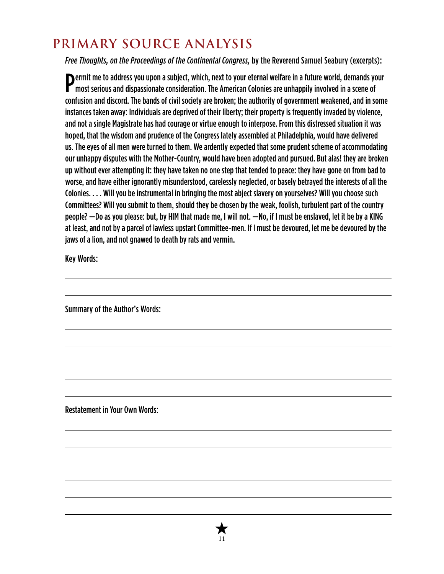## **PRIMARY SOURCE ANALYSIS**

*Free Thoughts, on the Proceedings of the Continental Congress,* by the Reverend Samuel Seabury (excerpts):

**Permit me to address you upon a subject, which, next to your eternal welfare in a future world, demands your most serious and dispassionate consideration. The American Colonies are unhappily involved in a scene of** most serious and dispassionate consideration. The American Colonies are unhappily involved in a scene of confusion and discord. The bands of civil society are broken; the authority of government weakened, and in some instances taken away: Individuals are deprived of their liberty; their property is frequently invaded by violence, and not a single Magistrate has had courage or virtue enough to interpose. From this distressed situation it was hoped, that the wisdom and prudence of the Congress lately assembled at Philadelphia, would have delivered us. The eyes of all men were turned to them. We ardently expected that some prudent scheme of accommodating our unhappy disputes with the Mother-Country, would have been adopted and pursued. But alas! they are broken up without ever attempting it: they have taken no one step that tended to peace: they have gone on from bad to worse, and have either ignorantly misunderstood, carelessly neglected, or basely betrayed the interests of all the Colonies. . . . Will you be instrumental in bringing the most abject slavery on yourselves? Will you choose such Committees? Will you submit to them, should they be chosen by the weak, foolish, turbulent part of the country people? —Do as you please: but, by HIM that made me, I will not. —No, if I must be enslaved, let it be by a KING at least, and not by a parcel of lawless upstart Committee-men. If I must be devoured, let me be devoured by the jaws of a lion, and not gnawed to death by rats and vermin.

Key Words:

Summary of the Author's Words:

Restatement in Your Own Words:

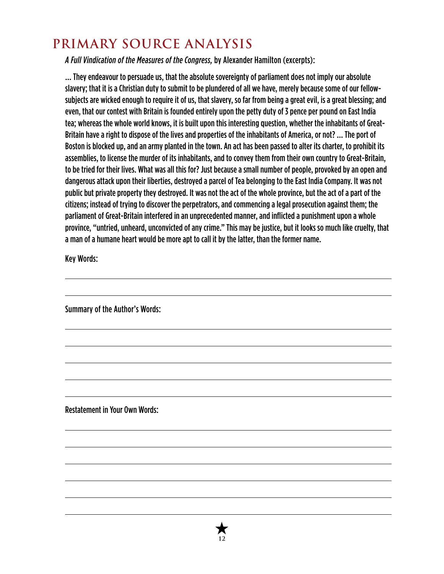## **PRIMARY SOURCE ANALYSIS**

*A Full Vindication of the Measures of the Congress,* by Alexander Hamilton (excerpts):

… They endeavour to persuade us, that the absolute sovereignty of parliament does not imply our absolute slavery; that it is a Christian duty to submit to be plundered of all we have, merely because some of our fellowsubjects are wicked enough to require it of us, that slavery, so far from being a great evil, is a great blessing; and even, that our contest with Britain is founded entirely upon the petty duty of 3 pence per pound on East India tea; whereas the whole world knows, it is built upon this interesting question, whether the inhabitants of Great-Britain have a right to dispose of the lives and properties of the inhabitants of America, or not? … The port of Boston is blocked up, and an army planted in the town. An act has been passed to alter its charter, to prohibit its assemblies, to license the murder of its inhabitants, and to convey them from their own country to Great-Britain, to be tried for their lives. What was all this for? Just because a small number of people, provoked by an open and dangerous attack upon their liberties, destroyed a parcel of Tea belonging to the East India Company. It was not public but private property they destroyed. It was not the act of the whole province, but the act of a part of the citizens; instead of trying to discover the perpetrators, and commencing a legal prosecution against them; the parliament of Great-Britain interfered in an unprecedented manner, and inflicted a punishment upon a whole province, "untried, unheard, unconvicted of any crime." This may be justice, but it looks so much like cruelty, that a man of a humane heart would be more apt to call it by the latter, than the former name.

Key Words:

Summary of the Author's Words:

Restatement in Your Own Words:

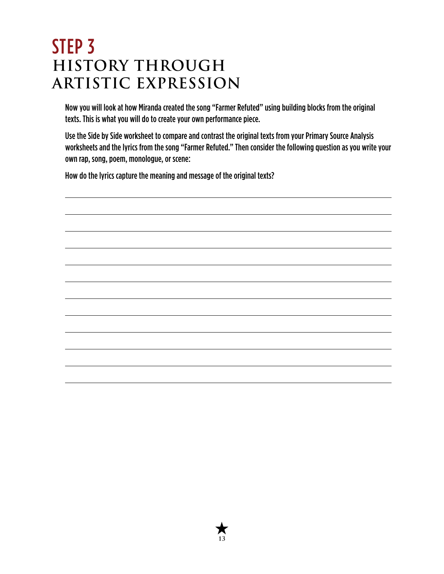# <span id="page-12-0"></span>STEP 3 **HISTORY THROUGH ARTISTIC EXPRESSION**

Now you will look at how Miranda created the song "Farmer Refuted" using building blocks from the original texts. This is what you will do to create your own performance piece.

Use the Side by Side worksheet to compare and contrast the original texts from your Primary Source Analysis worksheets and the lyrics from the song "Farmer Refuted." Then consider the following question as you write your own rap, song, poem, monologue, or scene:

How do the lyrics capture the meaning and message of the original texts?



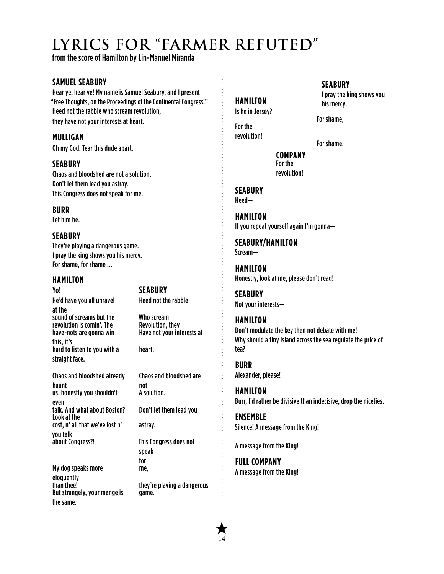# **LYRICS FOR "FARMER REFUTED"**

from the score of Hamilton by Lin-Manuel Miranda

#### **SAMUEL SEABURY**

Hear ye, hear ye! My name is Samuel Seabury, and I present "Free Thoughts, on the Proceedings of the Continental Congress!" Heed not the rabble who scream revolution, they have not your interests at heart.

#### **MULLIGAN**

Oh my God. Tear this dude apart.

#### **SEABURY**

Chaos and bloodshed are not a solution. Don't let them lead you astray. This Congress does not speak for me.

**BURR** Let him be.

#### **SEABURY**

They're playing a dangerous game. I pray the king shows you his mercy. For shame, for shame …

#### **HAMILTON**

He'd have you all unravel at the sound of screams but the Who scream<br>revolution is comin'. The Revolution, they revolution is comin'. The have-nots are gonna win this, it's hard to listen to you with a straight face.

Yo! **SEABURY**

Heed not the rabble

Have not your interests at

heart.

Chaos and bloodshed already haunt us, honestly you shouldn't even talk. And what about Boston? Don't let them lead you Look at the cost, n' all that we've lost n' you talk<br>about Congress?!

My dog speaks more eloquently<br>than thee! But strangely, your mange is the same.

not A solution.

Chaos and bloodshed are

astray. This Congress does not

speak for me,

they're playing a dangerous game.

### **HAMILTON**

Is he in Jersey?

For the revolution!

For shame,

**COMPANY** For the revolution!

**SEABURY** Heed—

**HAMILTON** If you repeat yourself again I'm gonna—

**SEABURY/HAMILTON** Scream—

**HAMILTON** Honestly, look at me, please don't read!

**SEABURY** Not your interests—

## **HAMILTON**

Don't modulate the key then not debate with me! Why should a tiny island across the sea regulate the price of tea?

**BURR** Alexander, please!

**HAMILTON** Burr, I'd rather be divisive than indecisive, drop the niceties.

**ENSEMBLE**  Silence! A message from the KIng!

A message from the King!

**FULL COMPANY**  A message from the King!



#### **SEABURY**

I pray the king shows you his mercy.

For shame,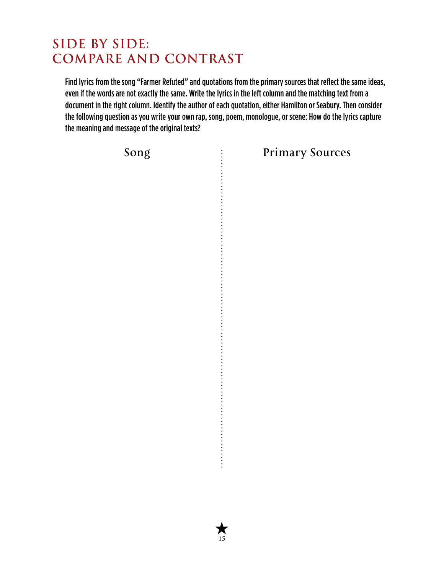## **SIDE BY SIDE: COMPARE AND CONTRAST**

Find lyrics from the song "Farmer Refuted" and quotations from the primary sources that reflect the same ideas, even if the words are not exactly the same. Write the lyrics in the left column and the matching text from a document in the right column. Identify the author of each quotation, either Hamilton or Seabury. Then consider the following question as you write your own rap, song, poem, monologue, or scene: How do the lyrics capture the meaning and message of the original texts?

**15**

 $\ddot{\cdot}$ 

**Song Primary Sources**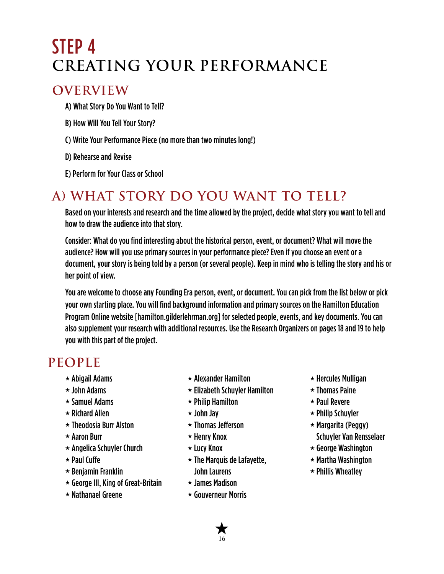# <span id="page-15-0"></span>STEP 4 **CREATING YOUR PERFORMANCE**

## **OVERVIEW**

A) What Story Do You Want to Tell?

- B) How Will You Tell Your Story?
- C) Write Your Performance Piece (no more than two minutes long!)

D) Rehearse and Revise

E) Perform for Your Class or School

## **A) WHAT STORY DO YOU WANT TO TELL?**

Based on your interests and research and the time allowed by the project, decide what story you want to tell and how to draw the audience into that story.

Consider: What do you find interesting about the historical person, event, or document? What will move the audience? How will you use primary sources in your performance piece? Even if you choose an event or a document, your story is being told by a person (or several people). Keep in mind who is telling the story and his or her point of view.

You are welcome to choose any Founding Era person, event, or document. You can pick from the list below or pick your own starting place. You will find background information and primary sources on the Hamilton Education Program Online website [[hamilton.gilderlehrman.org\]](http://hamilton.gilderlehrman.org) for selected people, events, and key documents. You can also supplement your research with additional resources. Use the Research Organizers on pages 18 and 19 to help you with this part of the project.

## **PEOPLE**

- $\star$  Abigail Adams
- $\star$  John Adams
- $\star$  Samuel Adams
- $\star$  Richard Allen
- $\star$  Theodosia Burr Alston
- $\star$  Aaron Burr
- $\star$  Angelica Schuyler Church
- $\star$  Paul Cuffe
- $\star$  Benjamin Franklin
- $\star$  George III, King of Great-Britain
- $\star$  Nathanael Greene
- $\star$  Alexander Hamilton
- $\star$  Elizabeth Schuyler Hamilton
- $\star$  Philip Hamilton
- $\star$  John Jay
- $\star$  Thomas Jefferson
- $\star$  Henry Knox
- $\star$  Lucy Knox
- $\star$  The Marquis de Lafayette, John Laurens
- $\star$  James Madison
- Gouverneur Morris
- $\star$  Hercules Mulligan
- $\star$  Thomas Paine
- $\star$  Paul Revere
- $\star$  Philip Schuyler
- $\star$  Margarita (Peggy) Schuyler Van Rensselaer
- $\star$  George Washington
- $\star$  Martha Washington
- $\star$  Phillis Wheatley

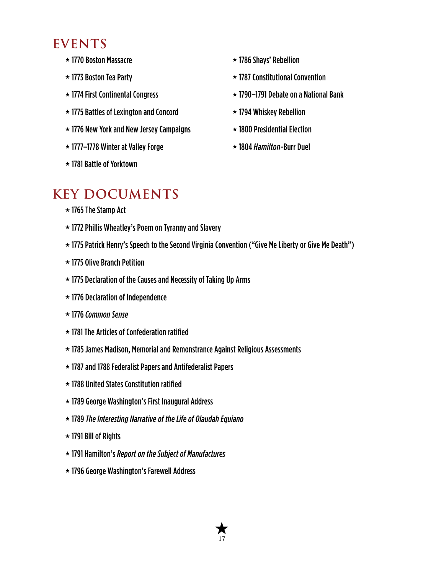## **EVENTS**

- 1770 Boston Massacre
- 1773 Boston Tea Party
- $\star$  1774 First Continental Congress
- $\star$  1775 Battles of Lexington and Concord
- $\star$  1776 New York and New Jersey Campaigns
- 1777–1778 Winter at Valley Forge
- 1781 Battle of Yorktown
- $\star$  1786 Shays' Rebellion
- $\star$  1787 Constitutional Convention
- $\star$  1790–1791 Debate on a National Bank
- $\star$  1794 Whiskey Rebellion
- $\star$  1800 Presidential Election
- 1804 *Hamilton*-Burr Duel

## **KEY DOCUMENTS**

- $\star$  1765 The Stamp Act
- $\star$  1772 Phillis Wheatley's Poem on Tyranny and Slavery
- $\star$  1775 Patrick Henry's Speech to the Second Virginia Convention ("Give Me Liberty or Give Me Death")
- $\star$  1775 Olive Branch Petition
- $\star$  1775 Declaration of the Causes and Necessity of Taking Up Arms
- $\star$  1776 Declaration of Independence
- 1776 *Common Sense*
- $\star$  1781 The Articles of Confederation ratified
- 1785 James Madison, Memorial and Remonstrance Against Religious Assessments
- $\star$  1787 and 1788 Federalist Papers and Antifederalist Papers
- $\star$  1788 United States Constitution ratified
- 1789 George Washington's First Inaugural Address
- 1789 *The Interesting Narrative of the Life of Olaudah Equiano*
- $\star$  1791 Bill of Rights
- 1791 Hamilton's*Report on the Subject of Manufactures*
- 1796 George Washington's Farewell Address

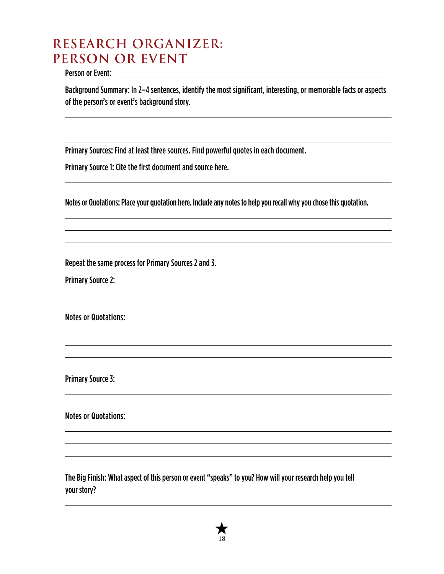## **RESEARCH ORGANIZER: PERSON OR EVENT**

Person or Event:

Background Summary: In 2–4 sentences, identify the most significant, interesting, or memorable facts or aspects of the person's or event's background story.

Primary Sources: Find at least three sources. Find powerful quotes in each document.

Primary Source 1: Cite the first document and source here.

Notes or Quotations: Place your quotation here. Include any notes to help you recall why you chose this quotation.

Repeat the same process for Primary Sources 2 and 3.

Primary Source 2:

Notes or Quotations:

Primary Source 3:

Notes or Quotations:

The Big Finish: What aspect of this person or event "speaks" to you? How will your research help you tell your story?

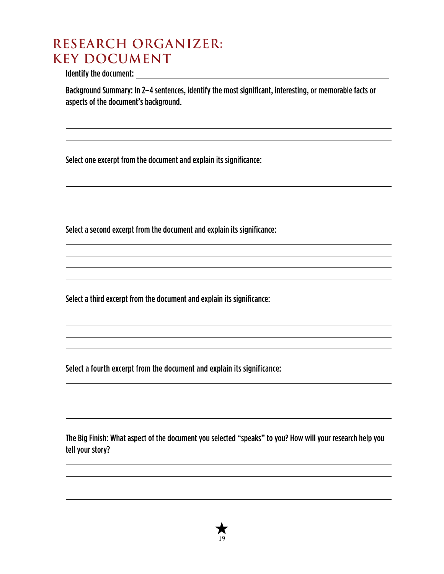## **RESEARCH ORGANIZER: KEY DOCUMENT**

Identify the document:

Background Summary: In 2–4 sentences, identify the most significant, interesting, or memorable facts or aspects of the document's background.

Select one excerpt from the document and explain its significance:

Select a second excerpt from the document and explain its significance:

Select a third excerpt from the document and explain its significance:

Select a fourth excerpt from the document and explain its significance:

The Big Finish: What aspect of the document you selected "speaks" to you? How will your research help you tell your story?

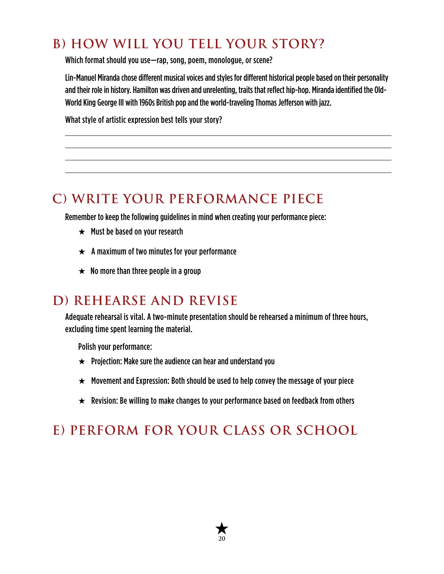## **B) HOW WILL YOU TELL YOUR STORY?**

Which format should you use—rap, song, poem, monologue, or scene?

Lin-Manuel Miranda chose different musical voices and styles for different historical people based on their personality and their role in history. Hamilton was driven and unrelenting, traits that reflect hip-hop. Miranda identified the Old-World King George III with 1960s British pop and the world-traveling Thomas Jefferson with jazz.

What style of artistic expression best tells your story?

## **C) WRITE YOUR PERFORMANCE PIECE**

Remember to keep the following guidelines in mind when creating your performance piece:

- $\star$  Must be based on your research
- $\star$  A maximum of two minutes for your performance
- $\star$  No more than three people in a group

## **D) REHEARSE AND REVISE**

Adequate rehearsal is vital. A two-minute presentation should be rehearsed a minimum of three hours, excluding time spent learning the material.

Polish your performance:

- $\star$  Projection: Make sure the audience can hear and understand you
- $\star$  Movement and Expression: Both should be used to help convey the message of your piece
- $\star$  Revision: Be willing to make changes to your performance based on feedback from others

## **E) PERFORM FOR YOUR CLASS OR SCHOOL**